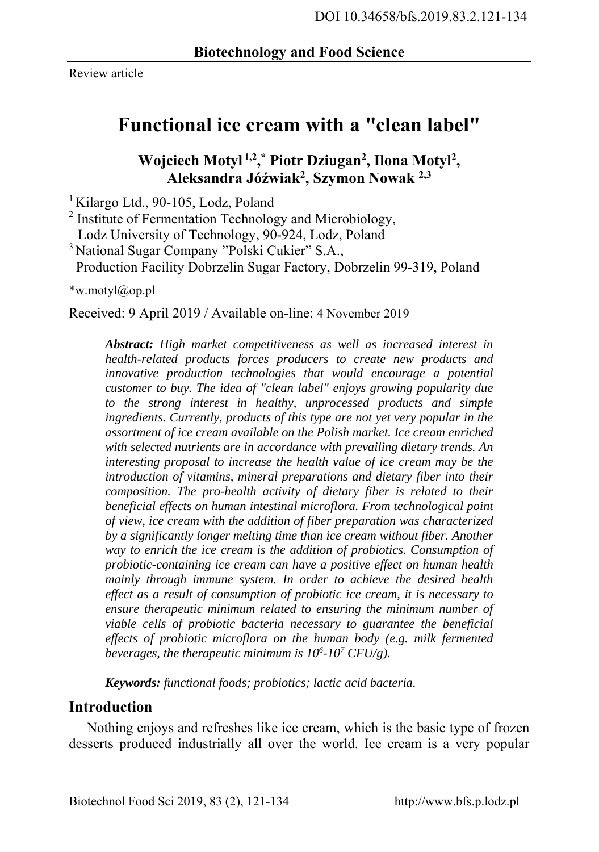Review article

# **Functional ice cream with a "clean label"**

**Wojciech Motyl 1,2, \* Piotr Dziugan2, Ilona Motyl2, Aleksandra Jóźwiak2, Szymon Nowak 2,3**

<sup>1</sup> Kilargo Ltd., 90-105, Lodz, Poland

<sup>2</sup> Institute of Fermentation Technology and Microbiology, Lodz University of Technology, 90-924, Lodz, Poland

<sup>3</sup> National Sugar Company "Polski Cukier" S.A.,

Production Facility Dobrzelin Sugar Factory, Dobrzelin 99-319, Poland

\*w.motyl@op.pl

Received: 9 April 2019 / Available on-line: 4 November 2019

*Abstract: High market competitiveness as well as increased interest in health-related products forces producers to create new products and innovative production technologies that would encourage a potential customer to buy. The idea of "clean label" enjoys growing popularity due to the strong interest in healthy, unprocessed products and simple ingredients. Currently, products of this type are not yet very popular in the assortment of ice cream available on the Polish market. Ice cream enriched with selected nutrients are in accordance with prevailing dietary trends. An interesting proposal to increase the health value of ice cream may be the introduction of vitamins, mineral preparations and dietary fiber into their composition. The pro-health activity of dietary fiber is related to their beneficial effects on human intestinal microflora. From technological point of view, ice cream with the addition of fiber preparation was characterized by a significantly longer melting time than ice cream without fiber. Another way to enrich the ice cream is the addition of probiotics. Consumption of probiotic-containing ice cream can have a positive effect on human health mainly through immune system. In order to achieve the desired health effect as a result of consumption of probiotic ice cream, it is necessary to ensure therapeutic minimum related to ensuring the minimum number of viable cells of probiotic bacteria necessary to guarantee the beneficial effects of probiotic microflora on the human body (e.g. milk fermented beverages, the therapeutic minimum is 106 -107 CFU/g).* 

*Keywords: functional foods; probiotics; lactic acid bacteria.* 

#### **Introduction**

Nothing enjoys and refreshes like ice cream, which is the basic type of frozen desserts produced industrially all over the world. Ice cream is a very popular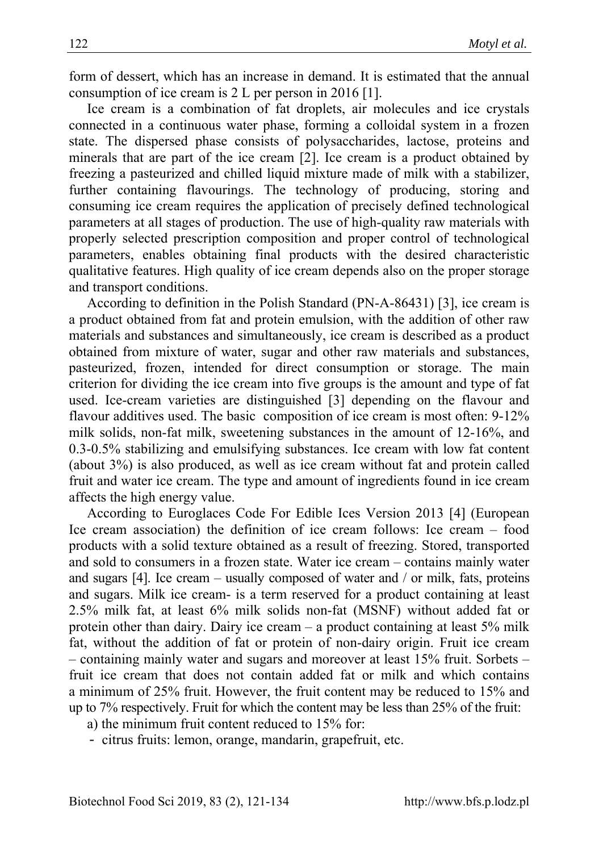form of dessert, which has an increase in demand. It is estimated that the annual consumption of ice cream is 2 L per person in 2016 [1].

Ice cream is a combination of fat droplets, air molecules and ice crystals connected in a continuous water phase, forming a colloidal system in a frozen state. The dispersed phase consists of polysaccharides, lactose, proteins and minerals that are part of the ice cream [2]. Ice cream is a product obtained by freezing a pasteurized and chilled liquid mixture made of milk with a stabilizer, further containing flavourings. The technology of producing, storing and consuming ice cream requires the application of precisely defined technological parameters at all stages of production. The use of high-quality raw materials with properly selected prescription composition and proper control of technological parameters, enables obtaining final products with the desired characteristic qualitative features. High quality of ice cream depends also on the proper storage and transport conditions.

According to definition in the Polish Standard (PN-A-86431) [3], ice cream is a product obtained from fat and protein emulsion, with the addition of other raw materials and substances and simultaneously, ice cream is described as a product obtained from mixture of water, sugar and other raw materials and substances, pasteurized, frozen, intended for direct consumption or storage. The main criterion for dividing the ice cream into five groups is the amount and type of fat used. Ice-cream varieties are distinguished [3] depending on the flavour and flavour additives used. The basic composition of ice cream is most often: 9-12% milk solids, non-fat milk, sweetening substances in the amount of 12-16%, and 0.3-0.5% stabilizing and emulsifying substances. Ice cream with low fat content (about 3%) is also produced, as well as ice cream without fat and protein called fruit and water ice cream. The type and amount of ingredients found in ice cream affects the high energy value.

According to Euroglaces Code For Edible Ices Version 2013 [4] (European Ice cream association) the definition of ice cream follows: Ice cream – food products with a solid texture obtained as a result of freezing. Stored, transported and sold to consumers in a frozen state. Water ice cream – contains mainly water and sugars [4]. Ice cream – usually composed of water and / or milk, fats, proteins and sugars. Milk ice cream- is a term reserved for a product containing at least 2.5% milk fat, at least 6% milk solids non-fat (MSNF) without added fat or protein other than dairy. Dairy ice cream – a product containing at least 5% milk fat, without the addition of fat or protein of non-dairy origin. Fruit ice cream – containing mainly water and sugars and moreover at least 15% fruit. Sorbets – fruit ice cream that does not contain added fat or milk and which contains a minimum of 25% fruit. However, the fruit content may be reduced to 15% and up to 7% respectively. Fruit for which the content may be less than 25% of the fruit:

a) the minimum fruit content reduced to 15% for:

- citrus fruits: lemon, orange, mandarin, grapefruit, etc.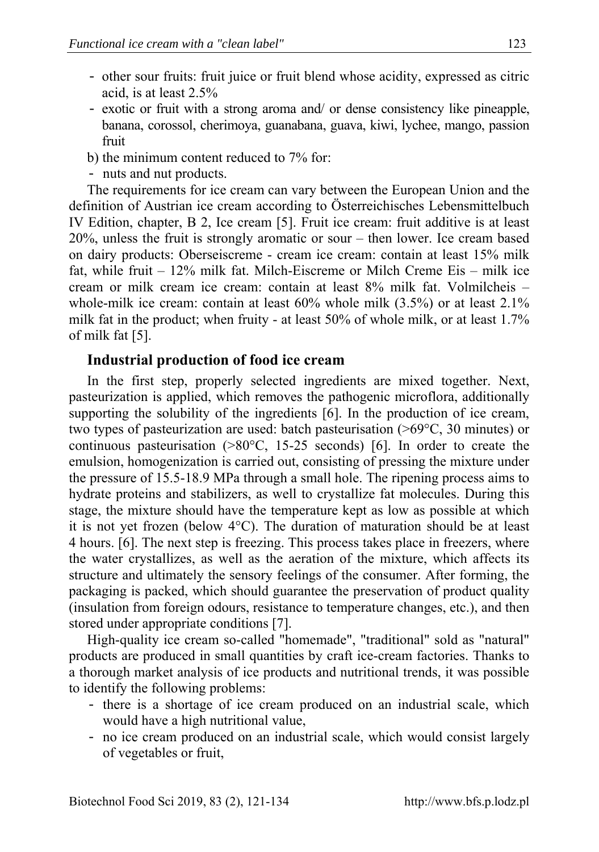- other sour fruits: fruit juice or fruit blend whose acidity, expressed as citric acid, is at least 2.5%
- exotic or fruit with a strong aroma and/ or dense consistency like pineapple, banana, corossol, cherimoya, guanabana, guava, kiwi, lychee, mango, passion fruit
- b) the minimum content reduced to 7% for:
- nuts and nut products.

The requirements for ice cream can vary between the European Union and the definition of Austrian ice cream according to Österreichisches Lebensmittelbuch IV Edition, chapter, B 2, Ice cream [5]. Fruit ice cream: fruit additive is at least 20%, unless the fruit is strongly aromatic or sour – then lower. Ice cream based on dairy products: Oberseiscreme - cream ice cream: contain at least 15% milk fat, while fruit – 12% milk fat. Milch-Eiscreme or Milch Creme Eis – milk ice cream or milk cream ice cream: contain at least 8% milk fat. Volmilcheis – whole-milk ice cream: contain at least  $60\%$  whole milk  $(3.5\%)$  or at least  $2.1\%$ milk fat in the product; when fruity - at least 50% of whole milk, or at least 1.7% of milk fat [5].

### **Industrial production of food ice cream**

In the first step, properly selected ingredients are mixed together. Next, pasteurization is applied, which removes the pathogenic microflora, additionally supporting the solubility of the ingredients [6]. In the production of ice cream, two types of pasteurization are used: batch pasteurisation (>69°C, 30 minutes) or continuous pasteurisation (>80°C, 15-25 seconds) [6]. In order to create the emulsion, homogenization is carried out, consisting of pressing the mixture under the pressure of 15.5-18.9 MPa through a small hole. The ripening process aims to hydrate proteins and stabilizers, as well to crystallize fat molecules. During this stage, the mixture should have the temperature kept as low as possible at which it is not yet frozen (below 4°C). The duration of maturation should be at least 4 hours. [6]. The next step is freezing. This process takes place in freezers, where the water crystallizes, as well as the aeration of the mixture, which affects its structure and ultimately the sensory feelings of the consumer. After forming, the packaging is packed, which should guarantee the preservation of product quality (insulation from foreign odours, resistance to temperature changes, etc.), and then stored under appropriate conditions [7].

High-quality ice cream so-called "homemade", "traditional" sold as "natural" products are produced in small quantities by craft ice-cream factories. Thanks to a thorough market analysis of ice products and nutritional trends, it was possible to identify the following problems:

- there is a shortage of ice cream produced on an industrial scale, which would have a high nutritional value,
- no ice cream produced on an industrial scale, which would consist largely of vegetables or fruit,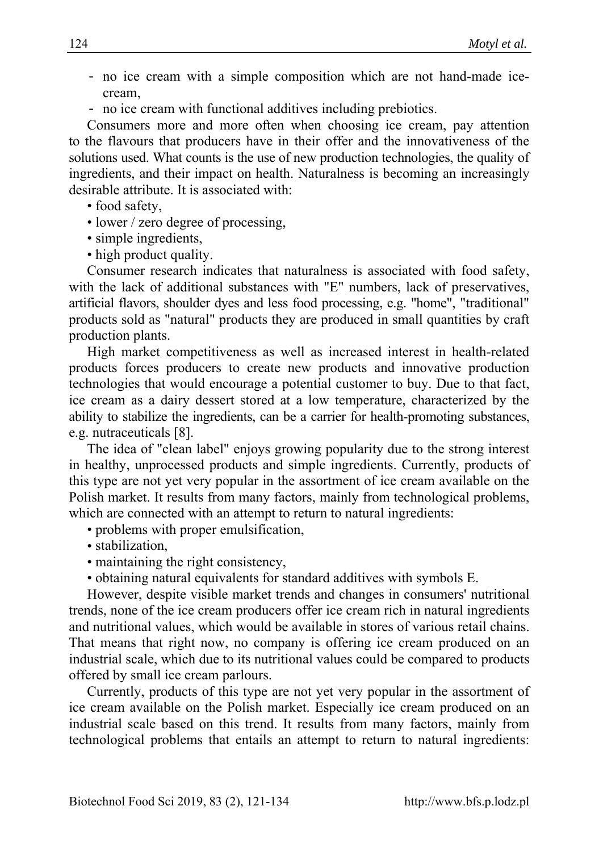- no ice cream with a simple composition which are not hand-made icecream,
- no ice cream with functional additives including prebiotics.

Consumers more and more often when choosing ice cream, pay attention to the flavours that producers have in their offer and the innovativeness of the solutions used. What counts is the use of new production technologies, the quality of ingredients, and their impact on health. Naturalness is becoming an increasingly desirable attribute. It is associated with:

• food safety,

- lower / zero degree of processing,
- simple ingredients,
- high product quality.

Consumer research indicates that naturalness is associated with food safety, with the lack of additional substances with "E" numbers, lack of preservatives, artificial flavors, shoulder dyes and less food processing, e.g. "home", "traditional" products sold as "natural" products they are produced in small quantities by craft production plants.

High market competitiveness as well as increased interest in health-related products forces producers to create new products and innovative production technologies that would encourage a potential customer to buy. Due to that fact, ice cream as a dairy dessert stored at a low temperature, characterized by the ability to stabilize the ingredients, can be a carrier for health-promoting substances, e.g. nutraceuticals [8].

The idea of "clean label" enjoys growing popularity due to the strong interest in healthy, unprocessed products and simple ingredients. Currently, products of this type are not yet very popular in the assortment of ice cream available on the Polish market. It results from many factors, mainly from technological problems, which are connected with an attempt to return to natural ingredients:

- problems with proper emulsification,
- stabilization,
- maintaining the right consistency,
- obtaining natural equivalents for standard additives with symbols E.

However, despite visible market trends and changes in consumers' nutritional trends, none of the ice cream producers offer ice cream rich in natural ingredients and nutritional values, which would be available in stores of various retail chains. That means that right now, no company is offering ice cream produced on an industrial scale, which due to its nutritional values could be compared to products offered by small ice cream parlours.

Currently, products of this type are not yet very popular in the assortment of ice cream available on the Polish market. Especially ice cream produced on an industrial scale based on this trend. It results from many factors, mainly from technological problems that entails an attempt to return to natural ingredients: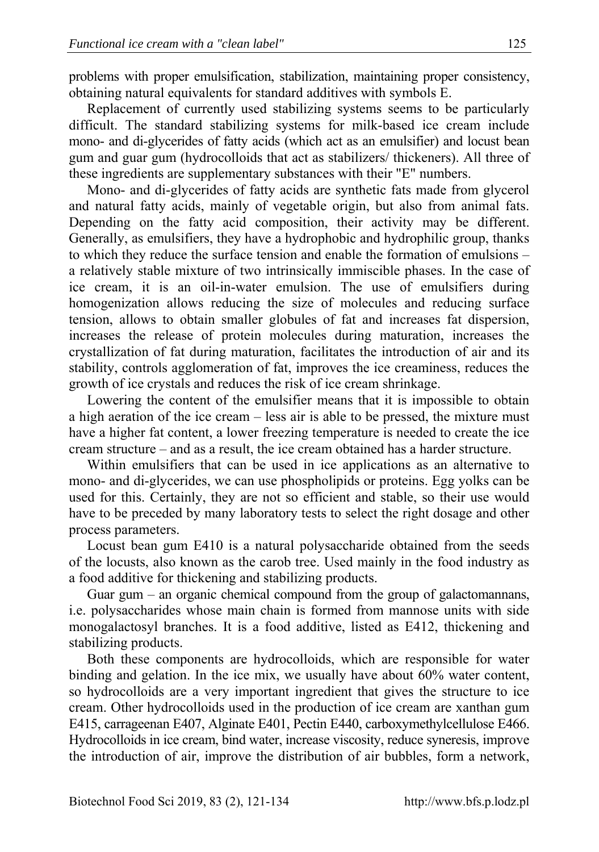problems with proper emulsification, stabilization, maintaining proper consistency, obtaining natural equivalents for standard additives with symbols E.

Replacement of currently used stabilizing systems seems to be particularly difficult. The standard stabilizing systems for milk-based ice cream include mono- and di-glycerides of fatty acids (which act as an emulsifier) and locust bean gum and guar gum (hydrocolloids that act as stabilizers/ thickeners). All three of these ingredients are supplementary substances with their "E" numbers.

Mono- and di-glycerides of fatty acids are synthetic fats made from glycerol and natural fatty acids, mainly of vegetable origin, but also from animal fats. Depending on the fatty acid composition, their activity may be different. Generally, as emulsifiers, they have a hydrophobic and hydrophilic group, thanks to which they reduce the surface tension and enable the formation of emulsions – a relatively stable mixture of two intrinsically immiscible phases. In the case of ice cream, it is an oil-in-water emulsion. The use of emulsifiers during homogenization allows reducing the size of molecules and reducing surface tension, allows to obtain smaller globules of fat and increases fat dispersion, increases the release of protein molecules during maturation, increases the crystallization of fat during maturation, facilitates the introduction of air and its stability, controls agglomeration of fat, improves the ice creaminess, reduces the growth of ice crystals and reduces the risk of ice cream shrinkage.

Lowering the content of the emulsifier means that it is impossible to obtain a high aeration of the ice cream – less air is able to be pressed, the mixture must have a higher fat content, a lower freezing temperature is needed to create the ice cream structure – and as a result, the ice cream obtained has a harder structure.

Within emulsifiers that can be used in ice applications as an alternative to mono- and di-glycerides, we can use phospholipids or proteins. Egg yolks can be used for this. Certainly, they are not so efficient and stable, so their use would have to be preceded by many laboratory tests to select the right dosage and other process parameters.

Locust bean gum E410 is a natural polysaccharide obtained from the seeds of the locusts, also known as the carob tree. Used mainly in the food industry as a food additive for thickening and stabilizing products.

Guar gum – an organic chemical compound from the group of galactomannans, i.e. polysaccharides whose main chain is formed from mannose units with side monogalactosyl branches. It is a food additive, listed as E412, thickening and stabilizing products.

Both these components are hydrocolloids, which are responsible for water binding and gelation. In the ice mix, we usually have about 60% water content, so hydrocolloids are a very important ingredient that gives the structure to ice cream. Other hydrocolloids used in the production of ice cream are xanthan gum E415, carrageenan E407, Alginate E401, Pectin E440, carboxymethylcellulose E466. Hydrocolloids in ice cream, bind water, increase viscosity, reduce syneresis, improve the introduction of air, improve the distribution of air bubbles, form a network,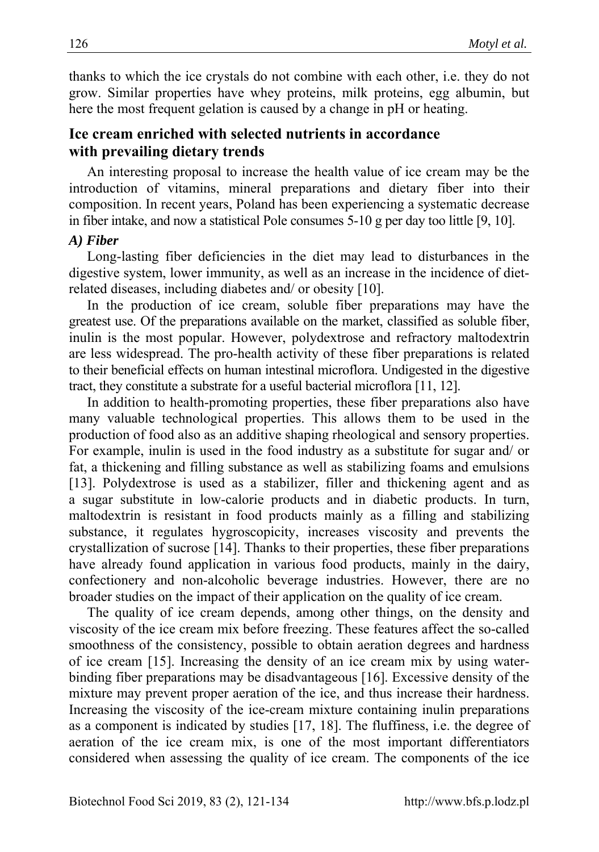thanks to which the ice crystals do not combine with each other, i.e. they do not grow. Similar properties have whey proteins, milk proteins, egg albumin, but here the most frequent gelation is caused by a change in pH or heating.

## **Ice cream enriched with selected nutrients in accordance with prevailing dietary trends**

An interesting proposal to increase the health value of ice cream may be the introduction of vitamins, mineral preparations and dietary fiber into their composition. In recent years, Poland has been experiencing a systematic decrease in fiber intake, and now a statistical Pole consumes 5-10 g per day too little [9, 10].

#### *A) Fiber*

Long-lasting fiber deficiencies in the diet may lead to disturbances in the digestive system, lower immunity, as well as an increase in the incidence of dietrelated diseases, including diabetes and/ or obesity [10].

In the production of ice cream, soluble fiber preparations may have the greatest use. Of the preparations available on the market, classified as soluble fiber, inulin is the most popular. However, polydextrose and refractory maltodextrin are less widespread. The pro-health activity of these fiber preparations is related to their beneficial effects on human intestinal microflora. Undigested in the digestive tract, they constitute a substrate for a useful bacterial microflora [11, 12].

In addition to health-promoting properties, these fiber preparations also have many valuable technological properties. This allows them to be used in the production of food also as an additive shaping rheological and sensory properties. For example, inulin is used in the food industry as a substitute for sugar and/ or fat, a thickening and filling substance as well as stabilizing foams and emulsions [13]. Polydextrose is used as a stabilizer, filler and thickening agent and as a sugar substitute in low-calorie products and in diabetic products. In turn, maltodextrin is resistant in food products mainly as a filling and stabilizing substance, it regulates hygroscopicity, increases viscosity and prevents the crystallization of sucrose [14]. Thanks to their properties, these fiber preparations have already found application in various food products, mainly in the dairy, confectionery and non-alcoholic beverage industries. However, there are no broader studies on the impact of their application on the quality of ice cream.

The quality of ice cream depends, among other things, on the density and viscosity of the ice cream mix before freezing. These features affect the so-called smoothness of the consistency, possible to obtain aeration degrees and hardness of ice cream [15]. Increasing the density of an ice cream mix by using waterbinding fiber preparations may be disadvantageous [16]. Excessive density of the mixture may prevent proper aeration of the ice, and thus increase their hardness. Increasing the viscosity of the ice-cream mixture containing inulin preparations as a component is indicated by studies [17, 18]. The fluffiness, i.e. the degree of aeration of the ice cream mix, is one of the most important differentiators considered when assessing the quality of ice cream. The components of the ice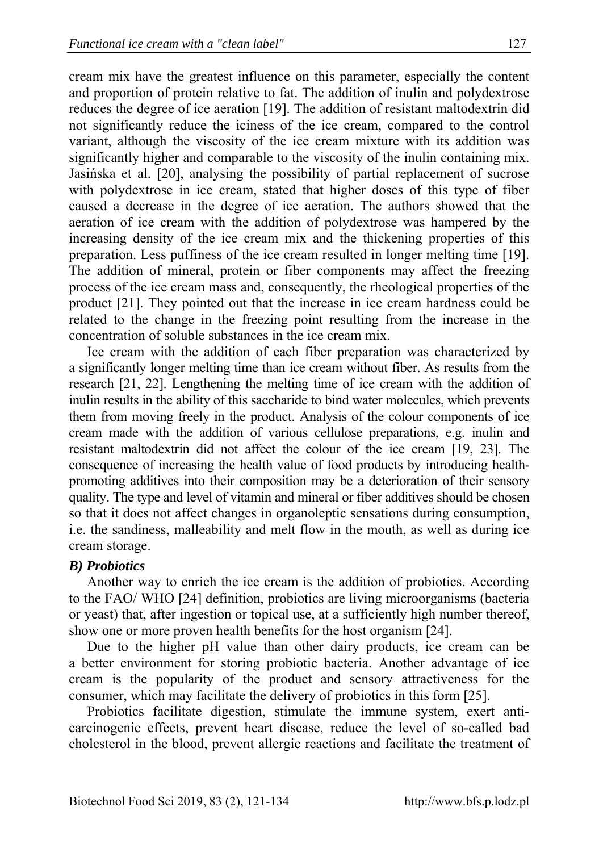cream mix have the greatest influence on this parameter, especially the content and proportion of protein relative to fat. The addition of inulin and polydextrose reduces the degree of ice aeration [19]. The addition of resistant maltodextrin did not significantly reduce the iciness of the ice cream, compared to the control variant, although the viscosity of the ice cream mixture with its addition was significantly higher and comparable to the viscosity of the inulin containing mix. Jasińska et al. [20], analysing the possibility of partial replacement of sucrose with polydextrose in ice cream, stated that higher doses of this type of fiber caused a decrease in the degree of ice aeration. The authors showed that the aeration of ice cream with the addition of polydextrose was hampered by the increasing density of the ice cream mix and the thickening properties of this preparation. Less puffiness of the ice cream resulted in longer melting time [19]. The addition of mineral, protein or fiber components may affect the freezing process of the ice cream mass and, consequently, the rheological properties of the product [21]. They pointed out that the increase in ice cream hardness could be related to the change in the freezing point resulting from the increase in the concentration of soluble substances in the ice cream mix.

Ice cream with the addition of each fiber preparation was characterized by a significantly longer melting time than ice cream without fiber. As results from the research [21, 22]. Lengthening the melting time of ice cream with the addition of inulin results in the ability of this saccharide to bind water molecules, which prevents them from moving freely in the product. Analysis of the colour components of ice cream made with the addition of various cellulose preparations, e.g. inulin and resistant maltodextrin did not affect the colour of the ice cream [19, 23]. The consequence of increasing the health value of food products by introducing healthpromoting additives into their composition may be a deterioration of their sensory quality. The type and level of vitamin and mineral or fiber additives should be chosen so that it does not affect changes in organoleptic sensations during consumption, i.e. the sandiness, malleability and melt flow in the mouth, as well as during ice cream storage.

#### *B) Probiotics*

Another way to enrich the ice cream is the addition of probiotics. According to the FAO/ WHO [24] definition, probiotics are living microorganisms (bacteria or yeast) that, after ingestion or topical use, at a sufficiently high number thereof, show one or more proven health benefits for the host organism [24].

Due to the higher pH value than other dairy products, ice cream can be a better environment for storing probiotic bacteria. Another advantage of ice cream is the popularity of the product and sensory attractiveness for the consumer, which may facilitate the delivery of probiotics in this form [25].

Probiotics facilitate digestion, stimulate the immune system, exert anticarcinogenic effects, prevent heart disease, reduce the level of so-called bad cholesterol in the blood, prevent allergic reactions and facilitate the treatment of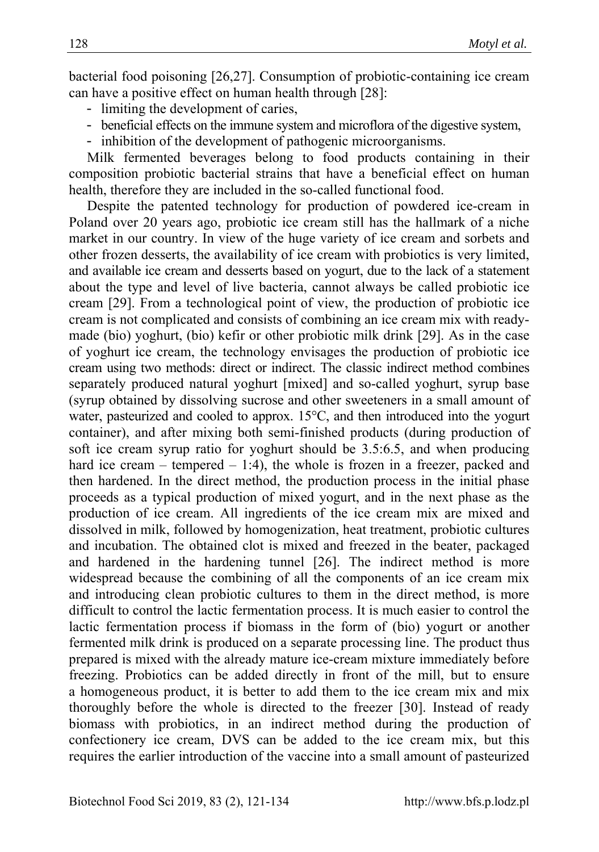bacterial food poisoning [26,27]. Consumption of probiotic-containing ice cream can have a positive effect on human health through [28]:

- limiting the development of caries,
- beneficial effects on the immune system and microflora of the digestive system,
- inhibition of the development of pathogenic microorganisms.

Milk fermented beverages belong to food products containing in their composition probiotic bacterial strains that have a beneficial effect on human health, therefore they are included in the so-called functional food.

Despite the patented technology for production of powdered ice-cream in Poland over 20 years ago, probiotic ice cream still has the hallmark of a niche market in our country. In view of the huge variety of ice cream and sorbets and other frozen desserts, the availability of ice cream with probiotics is very limited, and available ice cream and desserts based on yogurt, due to the lack of a statement about the type and level of live bacteria, cannot always be called probiotic ice cream [29]. From a technological point of view, the production of probiotic ice cream is not complicated and consists of combining an ice cream mix with readymade (bio) yoghurt, (bio) kefir or other probiotic milk drink [29]. As in the case of yoghurt ice cream, the technology envisages the production of probiotic ice cream using two methods: direct or indirect. The classic indirect method combines separately produced natural yoghurt [mixed] and so-called yoghurt, syrup base (syrup obtained by dissolving sucrose and other sweeteners in a small amount of water, pasteurized and cooled to approx. 15°C, and then introduced into the yogurt container), and after mixing both semi-finished products (during production of soft ice cream syrup ratio for yoghurt should be 3.5:6.5, and when producing hard ice cream – tempered – 1:4), the whole is frozen in a freezer, packed and then hardened. In the direct method, the production process in the initial phase proceeds as a typical production of mixed yogurt, and in the next phase as the production of ice cream. All ingredients of the ice cream mix are mixed and dissolved in milk, followed by homogenization, heat treatment, probiotic cultures and incubation. The obtained clot is mixed and freezed in the beater, packaged and hardened in the hardening tunnel [26]. The indirect method is more widespread because the combining of all the components of an ice cream mix and introducing clean probiotic cultures to them in the direct method, is more difficult to control the lactic fermentation process. It is much easier to control the lactic fermentation process if biomass in the form of (bio) yogurt or another fermented milk drink is produced on a separate processing line. The product thus prepared is mixed with the already mature ice-cream mixture immediately before freezing. Probiotics can be added directly in front of the mill, but to ensure a homogeneous product, it is better to add them to the ice cream mix and mix thoroughly before the whole is directed to the freezer [30]. Instead of ready biomass with probiotics, in an indirect method during the production of confectionery ice cream, DVS can be added to the ice cream mix, but this requires the earlier introduction of the vaccine into a small amount of pasteurized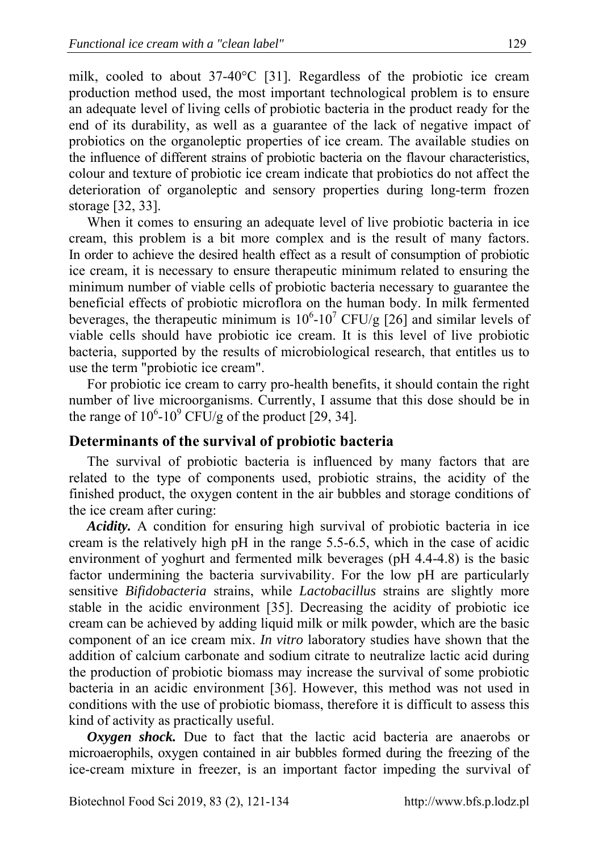milk, cooled to about 37-40°C [31]. Regardless of the probiotic ice cream production method used, the most important technological problem is to ensure an adequate level of living cells of probiotic bacteria in the product ready for the end of its durability, as well as a guarantee of the lack of negative impact of probiotics on the organoleptic properties of ice cream. The available studies on the influence of different strains of probiotic bacteria on the flavour characteristics, colour and texture of probiotic ice cream indicate that probiotics do not affect the deterioration of organoleptic and sensory properties during long-term frozen storage [32, 33].

When it comes to ensuring an adequate level of live probiotic bacteria in ice cream, this problem is a bit more complex and is the result of many factors. In order to achieve the desired health effect as a result of consumption of probiotic ice cream, it is necessary to ensure therapeutic minimum related to ensuring the minimum number of viable cells of probiotic bacteria necessary to guarantee the beneficial effects of probiotic microflora on the human body. In milk fermented beverages, the therapeutic minimum is  $10^6$ - $10^7$  CFU/g [26] and similar levels of viable cells should have probiotic ice cream. It is this level of live probiotic bacteria, supported by the results of microbiological research, that entitles us to use the term "probiotic ice cream".

For probiotic ice cream to carry pro-health benefits, it should contain the right number of live microorganisms. Currently, I assume that this dose should be in the range of  $10^6$ - $10^9$  CFU/g of the product [29, 34].

#### **Determinants of the survival of probiotic bacteria**

The survival of probiotic bacteria is influenced by many factors that are related to the type of components used, probiotic strains, the acidity of the finished product, the oxygen content in the air bubbles and storage conditions of the ice cream after curing:

*Acidity.* A condition for ensuring high survival of probiotic bacteria in ice cream is the relatively high pH in the range 5.5-6.5, which in the case of acidic environment of yoghurt and fermented milk beverages (pH 4.4-4.8) is the basic factor undermining the bacteria survivability. For the low pH are particularly sensitive *Bifidobacteria* strains, while *Lactobacillus* strains are slightly more stable in the acidic environment [35]. Decreasing the acidity of probiotic ice cream can be achieved by adding liquid milk or milk powder, which are the basic component of an ice cream mix. *In vitro* laboratory studies have shown that the addition of calcium carbonate and sodium citrate to neutralize lactic acid during the production of probiotic biomass may increase the survival of some probiotic bacteria in an acidic environment [36]. However, this method was not used in conditions with the use of probiotic biomass, therefore it is difficult to assess this kind of activity as practically useful.

*Oxygen shock.* Due to fact that the lactic acid bacteria are anaerobs or microaerophils, oxygen contained in air bubbles formed during the freezing of the ice-cream mixture in freezer, is an important factor impeding the survival of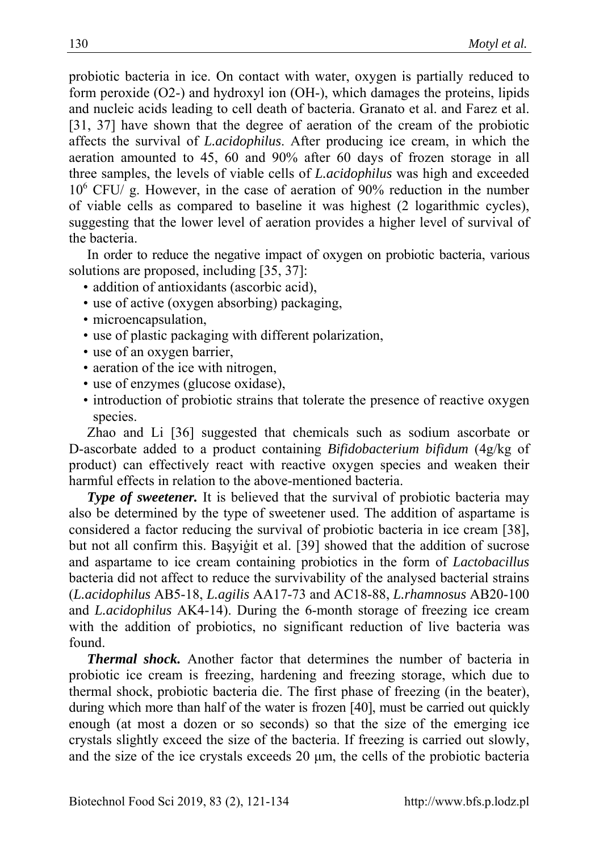probiotic bacteria in ice. On contact with water, oxygen is partially reduced to form peroxide (O2-) and hydroxyl ion (OH-), which damages the proteins, lipids and nucleic acids leading to cell death of bacteria. Granato et al. and Farez et al. [31, 37] have shown that the degree of aeration of the cream of the probiotic affects the survival of *L.acidophilus*. After producing ice cream, in which the aeration amounted to 45, 60 and 90% after 60 days of frozen storage in all three samples, the levels of viable cells of *L.acidophilus* was high and exceeded 10<sup>6</sup> CFU/ g. However, in the case of aeration of 90% reduction in the number of viable cells as compared to baseline it was highest (2 logarithmic cycles), suggesting that the lower level of aeration provides a higher level of survival of the bacteria.

In order to reduce the negative impact of oxygen on probiotic bacteria, various solutions are proposed, including [35, 37]:

- addition of antioxidants (ascorbic acid),
- use of active (oxygen absorbing) packaging,
- microencapsulation,
- use of plastic packaging with different polarization,
- use of an oxygen barrier,
- aeration of the ice with nitrogen,
- use of enzymes (glucose oxidase),
- introduction of probiotic strains that tolerate the presence of reactive oxygen species.

Zhao and Li [36] suggested that chemicals such as sodium ascorbate or D-ascorbate added to a product containing *Bifidobacterium bifidum* (4g/kg of product) can effectively react with reactive oxygen species and weaken their harmful effects in relation to the above-mentioned bacteria.

**Type of sweetener.** It is believed that the survival of probiotic bacteria may also be determined by the type of sweetener used. The addition of aspartame is considered a factor reducing the survival of probiotic bacteria in ice cream [38], but not all confirm this. Başyiģit et al. [39] showed that the addition of sucrose and aspartame to ice cream containing probiotics in the form of *Lactobacillus* bacteria did not affect to reduce the survivability of the analysed bacterial strains (*L.acidophilus* AB5-18, *L.agilis* AA17-73 and AC18-88, *L.rhamnosus* AB20-100 and *L.acidophilus* AK4-14). During the 6-month storage of freezing ice cream with the addition of probiotics, no significant reduction of live bacteria was found.

*Thermal shock.* Another factor that determines the number of bacteria in probiotic ice cream is freezing, hardening and freezing storage, which due to thermal shock, probiotic bacteria die. The first phase of freezing (in the beater), during which more than half of the water is frozen [40], must be carried out quickly enough (at most a dozen or so seconds) so that the size of the emerging ice crystals slightly exceed the size of the bacteria. If freezing is carried out slowly, and the size of the ice crystals exceeds 20 μm, the cells of the probiotic bacteria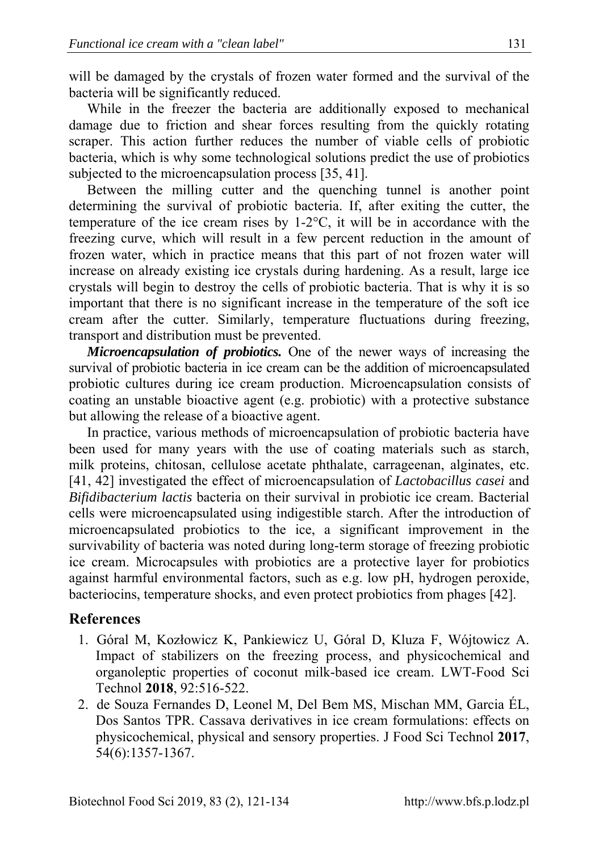will be damaged by the crystals of frozen water formed and the survival of the bacteria will be significantly reduced.

While in the freezer the bacteria are additionally exposed to mechanical damage due to friction and shear forces resulting from the quickly rotating scraper. This action further reduces the number of viable cells of probiotic bacteria, which is why some technological solutions predict the use of probiotics subjected to the microencapsulation process [35, 41].

Between the milling cutter and the quenching tunnel is another point determining the survival of probiotic bacteria. If, after exiting the cutter, the temperature of the ice cream rises by 1-2°C, it will be in accordance with the freezing curve, which will result in a few percent reduction in the amount of frozen water, which in practice means that this part of not frozen water will increase on already existing ice crystals during hardening. As a result, large ice crystals will begin to destroy the cells of probiotic bacteria. That is why it is so important that there is no significant increase in the temperature of the soft ice cream after the cutter. Similarly, temperature fluctuations during freezing, transport and distribution must be prevented.

*Microencapsulation of probiotics.* One of the newer ways of increasing the survival of probiotic bacteria in ice cream can be the addition of microencapsulated probiotic cultures during ice cream production. Microencapsulation consists of coating an unstable bioactive agent (e.g. probiotic) with a protective substance but allowing the release of a bioactive agent.

In practice, various methods of microencapsulation of probiotic bacteria have been used for many years with the use of coating materials such as starch, milk proteins, chitosan, cellulose acetate phthalate, carrageenan, alginates, etc. [41, 42] investigated the effect of microencapsulation of *Lactobacillus casei* and *Bifidibacterium lactis* bacteria on their survival in probiotic ice cream. Bacterial cells were microencapsulated using indigestible starch. After the introduction of microencapsulated probiotics to the ice, a significant improvement in the survivability of bacteria was noted during long-term storage of freezing probiotic ice cream. Microcapsules with probiotics are a protective layer for probiotics against harmful environmental factors, such as e.g. low pH, hydrogen peroxide, bacteriocins, temperature shocks, and even protect probiotics from phages [42].

# **References**

- 1. Góral M, Kozłowicz K, Pankiewicz U, Góral D, Kluza F, Wójtowicz A. Impact of stabilizers on the freezing process, and physicochemical and organoleptic properties of coconut milk-based ice cream. LWT-Food Sci Technol **2018**, 92:516-522.
- 2. de Souza Fernandes D, Leonel M, Del Bem MS, Mischan MM, Garcia ÉL, Dos Santos TPR. Cassava derivatives in ice cream formulations: effects on physicochemical, physical and sensory properties. J Food Sci Technol **2017**, 54(6):1357-1367.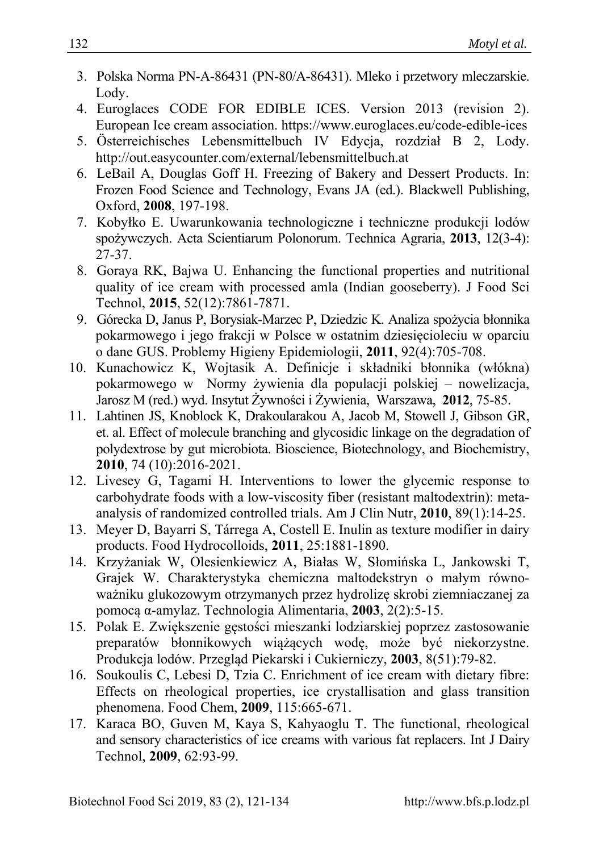- 3. Polska Norma PN-A-86431 (PN-80/A-86431). Mleko i przetwory mleczarskie. Lody.
- 4. Euroglaces CODE FOR EDIBLE ICES. Version 2013 (revision 2). European Ice cream association. https://www.euroglaces.eu/code-edible-ices
- 5. Österreichisches Lebensmittelbuch IV Edycja, rozdział B 2, Lody. http://out.easycounter.com/external/lebensmittelbuch.at
- 6. LeBail A, Douglas Goff H. Freezing of Bakery and Dessert Products. In: Frozen Food Science and Technology, Evans JA (ed.). Blackwell Publishing, Oxford, **2008**, 197-198.
- 7. Kobyłko E. Uwarunkowania technologiczne i techniczne produkcji lodów spożywczych. Acta Scientiarum Polonorum. Technica Agraria, **2013**, 12(3-4): 27-37.
- 8. Goraya RK, Bajwa U. Enhancing the functional properties and nutritional quality of ice cream with processed amla (Indian gooseberry). J Food Sci Technol, **2015**, 52(12):7861-7871.
- 9. Górecka D, Janus P, Borysiak-Marzec P, Dziedzic K. Analiza spożycia błonnika pokarmowego i jego frakcji w Polsce w ostatnim dziesięcioleciu w oparciu o dane GUS. Problemy Higieny Epidemiologii, **2011**, 92(4):705-708.
- 10. Kunachowicz K, Wojtasik A. Definicje i składniki błonnika (włókna) pokarmowego w Normy żywienia dla populacji polskiej – nowelizacja, Jarosz M (red.) wyd. Insytut Żywności i Żywienia, Warszawa, **2012**, 75-85.
- 11. Lahtinen JS, Knoblock K, Drakoularakou A, Jacob M, Stowell J, Gibson GR, et. al. Effect of molecule branching and glycosidic linkage on the degradation of polydextrose by gut microbiota. Bioscience, Biotechnology, and Biochemistry, **2010**, 74 (10):2016-2021.
- 12. Livesey G, Tagami H. Interventions to lower the glycemic response to carbohydrate foods with a low-viscosity fiber (resistant maltodextrin): metaanalysis of randomized controlled trials. Am J Clin Nutr, **2010**, 89(1):14-25.
- 13. Meyer D, Bayarri S, Tárrega A, Costell E. Inulin as texture modifier in dairy products. Food Hydrocolloids, **2011**, 25:1881-1890.
- 14. Krzyżaniak W, Olesienkiewicz A, Białas W, Słomińska L, Jankowski T, Grajek W. Charakterystyka chemiczna maltodekstryn o małym równoważniku glukozowym otrzymanych przez hydrolizę skrobi ziemniaczanej za pomocą α-amylaz. Technologia Alimentaria, **2003**, 2(2):5-15.
- 15. Polak E. Zwiększenie gęstości mieszanki lodziarskiej poprzez zastosowanie preparatów błonnikowych wiążących wodę, może być niekorzystne. Produkcja lodów. Przegląd Piekarski i Cukierniczy, **2003**, 8(51):79-82.
- 16. Soukoulis C, Lebesi D, Tzia C. Enrichment of ice cream with dietary fibre: Effects on rheological properties, ice crystallisation and glass transition phenomena. Food Chem, **2009**, 115:665-671.
- 17. Karaca BO, Guven M, Kaya S, Kahyaoglu T. The functional, rheological and sensory characteristics of ice creams with various fat replacers. Int J Dairy Technol, **2009**, 62:93-99.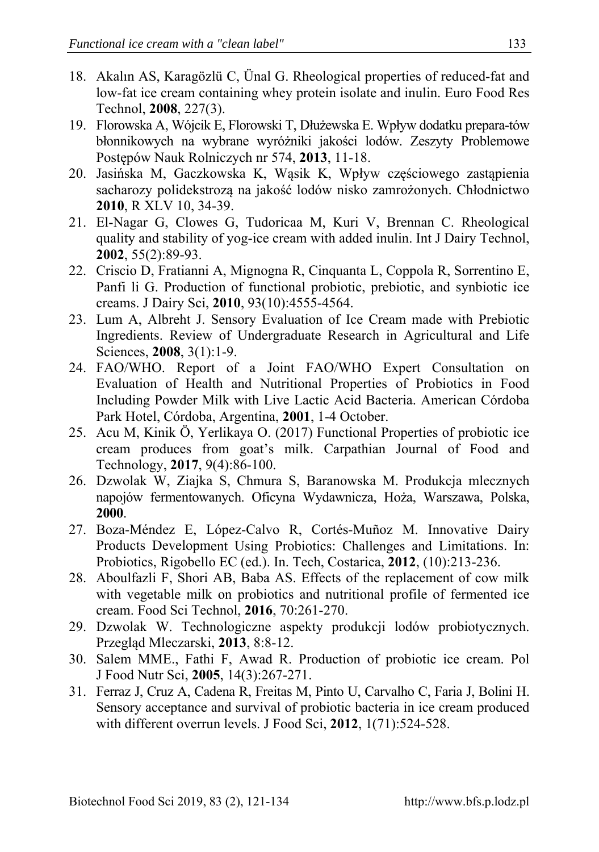- 18. Akalın AS, Karagözlü C, Ünal G. Rheological properties of reduced-fat and low-fat ice cream containing whey protein isolate and inulin. Euro Food Res Technol, **2008**, 227(3).
- 19. Florowska A, Wójcik E, Florowski T, Dłużewska E. Wpływ dodatku prepara-tów błonnikowych na wybrane wyróżniki jakości lodów. Zeszyty Problemowe Postępów Nauk Rolniczych nr 574, **2013**, 11-18.
- 20. Jasińska M, Gaczkowska K, Wąsik K, Wpływ częściowego zastąpienia sacharozy polidekstrozą na jakość lodów nisko zamrożonych. Chłodnictwo **2010**, R XLV 10, 34-39.
- 21. El-Nagar G, Clowes G, Tudoricaa M, Kuri V, Brennan C. Rheological quality and stability of yog-ice cream with added inulin. Int J Dairy Technol, **2002**, 55(2):89-93.
- 22. Criscio D, Fratianni A, Mignogna R, Cinquanta L, Coppola R, Sorrentino E, Panfi li G. Production of functional probiotic, prebiotic, and synbiotic ice creams. J Dairy Sci, **2010**, 93(10):4555-4564.
- 23. Lum A, Albreht J. Sensory Evaluation of Ice Cream made with Prebiotic Ingredients. Review of Undergraduate Research in Agricultural and Life Sciences, **2008**, 3(1):1-9.
- 24. FAO/WHO. Report of a Joint FAO/WHO Expert Consultation on Evaluation of Health and Nutritional Properties of Probiotics in Food Including Powder Milk with Live Lactic Acid Bacteria. American Córdoba Park Hotel, Córdoba, Argentina, **2001**, 1-4 October.
- 25. Acu M, Kinik Ö, Yerlikaya O. (2017) Functional Properties of probiotic ice cream produces from goat's milk. Carpathian Journal of Food and Technology, **2017**, 9(4):86-100.
- 26. Dzwolak W, Ziajka S, Chmura S, Baranowska M. Produkcja mlecznych napojów fermentowanych. Oficyna Wydawnicza, Hoża, Warszawa, Polska, **2000**.
- 27. Boza-Méndez E, López-Calvo R, Cortés-Muñoz M. Innovative Dairy Products Development Using Probiotics: Challenges and Limitations. In: Probiotics, Rigobello EC (ed.). In. Tech, Costarica, **2012**, (10):213-236.
- 28. Aboulfazli F, Shori AB, Baba AS. Effects of the replacement of cow milk with vegetable milk on probiotics and nutritional profile of fermented ice cream. Food Sci Technol, **2016**, 70:261-270.
- 29. Dzwolak W. Technologiczne aspekty produkcji lodów probiotycznych. Przegląd Mleczarski, **2013**, 8:8-12.
- 30. Salem MME., Fathi F, Awad R. Production of probiotic ice cream. Pol J Food Nutr Sci, **2005**, 14(3):267-271.
- 31. Ferraz J, Cruz A, Cadena R, Freitas M, Pinto U, Carvalho C, Faria J, Bolini H. Sensory acceptance and survival of probiotic bacteria in ice cream produced with different overrun levels. J Food Sci, **2012**, 1(71):524-528.